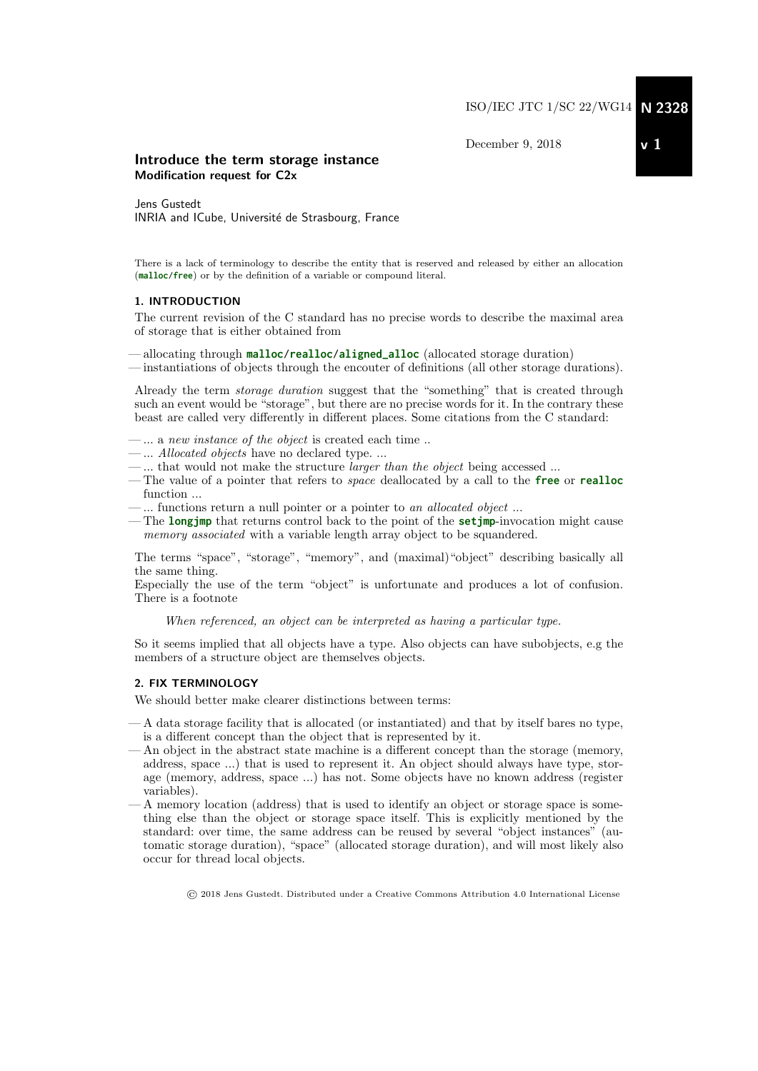December 9, 2018

# Introduce the term storage instance Modification request for C2x

Jens Gustedt INRIA and ICube, Université de Strasbourg, France

There is a lack of terminology to describe the entity that is reserved and released by either an allocation (**malloc**/**free**) or by the definition of a variable or compound literal.

### 1. INTRODUCTION

The current revision of the C standard has no precise words to describe the maximal area of storage that is either obtained from

— allocating through **malloc**/**realloc**/**aligned\_alloc** (allocated storage duration)

— instantiations of objects through the encouter of definitions (all other storage durations).

Already the term storage duration suggest that the "something" that is created through such an event would be "storage", but there are no precise words for it. In the contrary these beast are called very differently in different places. Some citations from the C standard:

- $-\dots$  a new instance of the object is created each time.
- ... Allocated objects have no declared type. ...
- $-\dots$  that would not make the structure *larger than the object* being accessed  $\dots$
- The value of a pointer that refers to space deallocated by a call to the **free** or **realloc** function ...
- ... functions return a null pointer or a pointer to an allocated object ...
- The **longjmp** that returns control back to the point of the **setjmp**-invocation might cause memory associated with a variable length array object to be squandered.

The terms "space", "storage", "memory", and (maximal)"object" describing basically all the same thing.

Especially the use of the term "object" is unfortunate and produces a lot of confusion. There is a footnote

When referenced, an object can be interpreted as having a particular type.

So it seems implied that all objects have a type. Also objects can have subobjects, e.g the members of a structure object are themselves objects.

### 2. FIX TERMINOLOGY

We should better make clearer distinctions between terms:

- A data storage facility that is allocated (or instantiated) and that by itself bares no type, is a different concept than the object that is represented by it.
- An object in the abstract state machine is a different concept than the storage (memory, address, space ...) that is used to represent it. An object should always have type, storage (memory, address, space ...) has not. Some objects have no known address (register variables).
- A memory location (address) that is used to identify an object or storage space is something else than the object or storage space itself. This is explicitly mentioned by the standard: over time, the same address can be reused by several "object instances" (automatic storage duration), "space" (allocated storage duration), and will most likely also occur for thread local objects.

© 2018 Jens Gustedt. Distributed under a Creative Commons Attribution 4.0 International License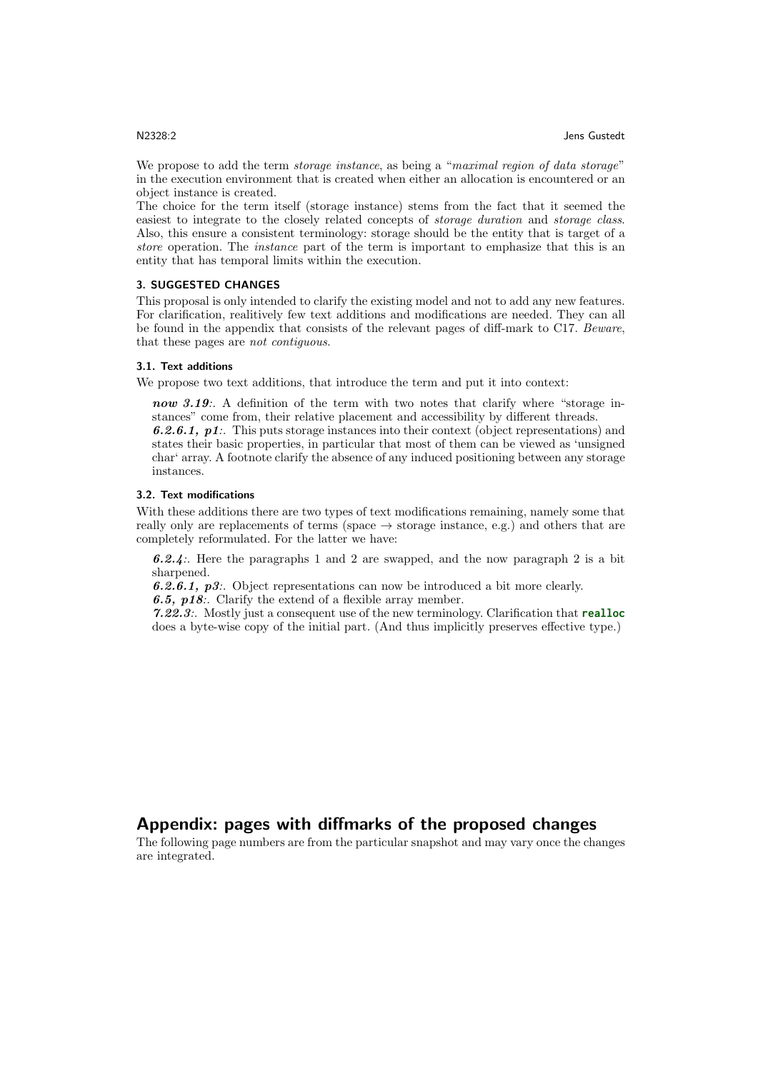We propose to add the term *storage instance*, as being a "maximal region of data storage" in the execution environment that is created when either an allocation is encountered or an object instance is created.

The choice for the term itself (storage instance) stems from the fact that it seemed the easiest to integrate to the closely related concepts of storage duration and storage class. Also, this ensure a consistent terminology: storage should be the entity that is target of a store operation. The *instance* part of the term is important to emphasize that this is an entity that has temporal limits within the execution.

### 3. SUGGESTED CHANGES

This proposal is only intended to clarify the existing model and not to add any new features. For clarification, realitively few text additions and modifications are needed. They can all be found in the appendix that consists of the relevant pages of diff-mark to C17. Beware, that these pages are not contiguous.

#### 3.1. Text additions

We propose two text additions, that introduce the term and put it into context:

now 3.19:. A definition of the term with two notes that clarify where "storage instances" come from, their relative placement and accessibility by different threads. 6.2.6.1, p1:. This puts storage instances into their context (object representations) and states their basic properties, in particular that most of them can be viewed as 'unsigned char' array. A footnote clarify the absence of any induced positioning between any storage instances.

### 3.2. Text modifications

With these additions there are two types of text modifications remaining, namely some that really only are replacements of terms (space  $\rightarrow$  storage instance, e.g.) and others that are completely reformulated. For the latter we have:

6.2.4:. Here the paragraphs 1 and 2 are swapped, and the now paragraph 2 is a bit sharpened.

6.2.6.1,  $p3$ :. Object representations can now be introduced a bit more clearly. 6.5,  $\n p18$ : Clarify the extend of a flexible array member.

7.22.3:. Mostly just a consequent use of the new terminology. Clarification that **realloc** does a byte-wise copy of the initial part. (And thus implicitly preserves effective type.)

# Appendix: pages with diffmarks of the proposed changes

The following page numbers are from the particular snapshot and may vary once the changes are integrated.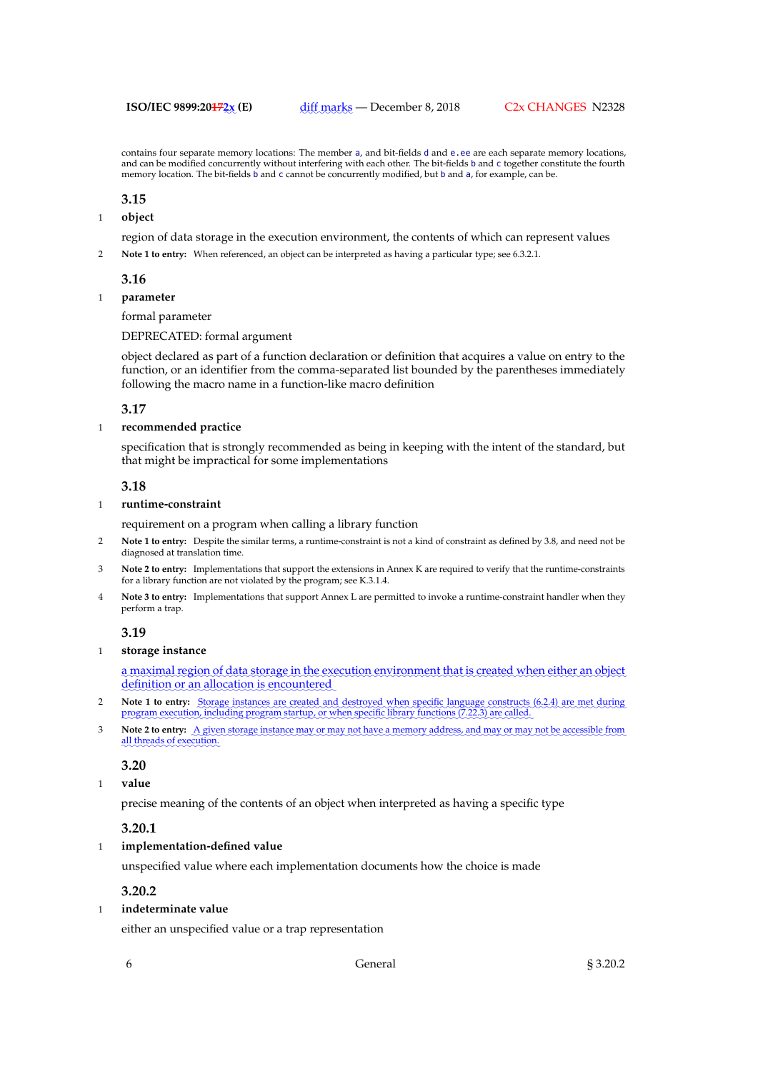contains four separate memory locations: The member a, and bit-fields d and e.ee are each separate memory locations, and can be modified concurrently without interfering with each other. The bit-fields b and c together constitute the fourth memory location. The bit-fields b and c cannot be concurrently modified, but b and a, for example, can be.

### **3.15**

1 **object**

region of data storage in the execution environment, the contents of which can represent values

2 **Note 1 to entry:** When referenced, an object can be interpreted as having a particular type; see 6.3.2.1.

### **3.16**

1 **parameter**

# formal parameter

DEPRECATED: formal argument

object declared as part of a function declaration or definition that acquires a value on entry to the function, or an identifier from the comma-separated list bounded by the parentheses immediately following the macro name in a function-like macro definition

### **3.17**

### 1 **recommended practice**

specification that is strongly recommended as being in keeping with the intent of the standard, but that might be impractical for some implementations

### **3.18**

### 1 **runtime-constraint**

requirement on a program when calling a library function

- 2 **Note 1 to entry:** Despite the similar terms, a runtime-constraint is not a kind of constraint as defined by 3.8, and need not be diagnosed at translation time.
- 3 **Note 2 to entry:** Implementations that support the extensions in Annex K are required to verify that the runtime-constraints for a library function are not violated by the program; see K.3.1.4.
- Note 3 to entry: Implementations that support Annex L are permitted to invoke a runtime-constraint handler when they perform a trap.

## **3.19**

# 1 **storage instance**

a maximal region of data storage in the execution environment that is created when either an object definition or an allocation is encountered

- **2 Note 1 to entry:** Storage instances are created and destroyed when specific language constructs (6.2.4) are met during program execution, including program startup, or when specific library functions (7.22.3) are called.
- 3 Note 2 to entry: <u>A given storage instance may or may not have a memory address, and may or may not be accessible from</u> all threads of execution.

# **3.20**

1 **value**

precise meaning of the contents of an object when interpreted as having a specific type

# **3.20.1**

# 1 **implementation-defined value**

unspecified value where each implementation documents how the choice is made

# **3.20.2**

# 1 **indeterminate value**

either an unspecified value or a trap representation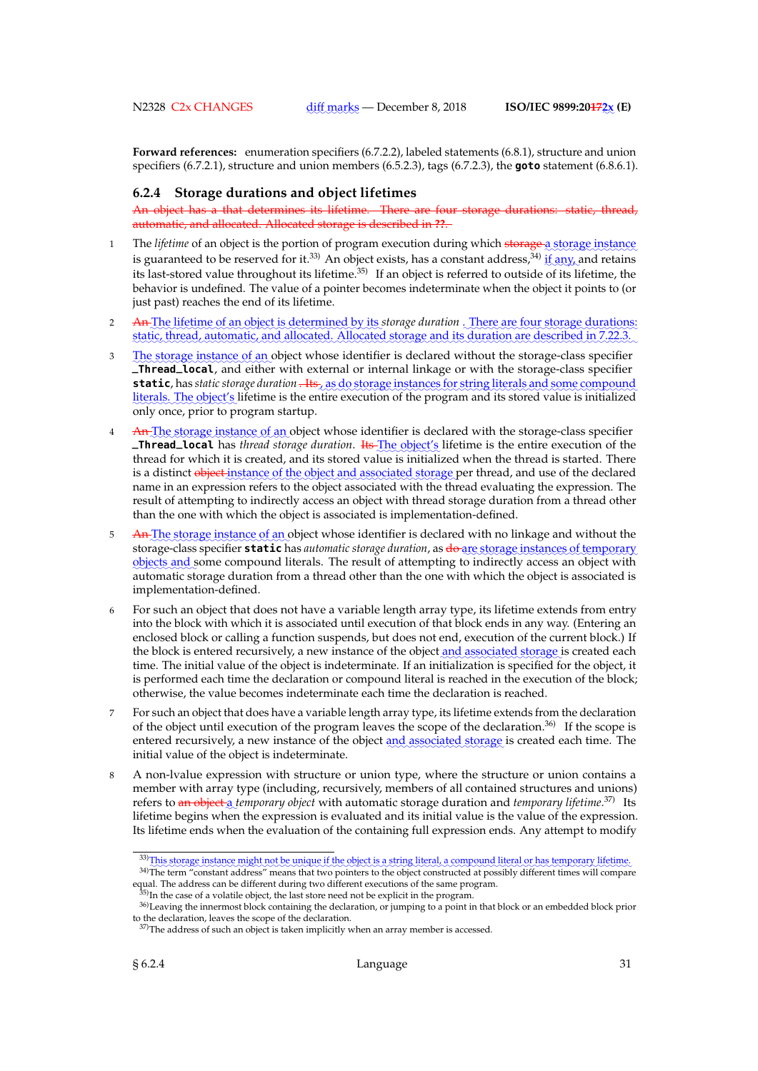**Forward references:** enumeration specifiers (6.7.2.2), labeled statements (6.8.1), structure and union specifiers (6.7.2.1), structure and union members (6.5.2.3), tags (6.7.2.3), the **goto** statement (6.8.6.1).

### **6.2.4 Storage durations and object lifetimes**

An object has a that determines its lifetime. There are four storage durations: static, thread, automatic, and allocated. Allocated storage is described in **??**.

- 1 The *lifetime* of an object is the portion of program execution during which storage a storage instance is guaranteed to be reserved for it.<sup>33)</sup> An object exists, has a constant address,<sup>34)</sup> if any, and retains dependence to be received for it. The object class, the a constant watercor, and constant class set of the lifetime, the list last-stored value throughout its lifetime.<sup>35)</sup> If an object is referred to outside of its lifet behavior is undefined. The value of a pointer becomes indeterminate when the object it points to (or just past) reaches the end of its lifetime.
- 2 An The lifetime of an object is determined by its storage duration . There are four storage durations: static, thread, automatic, and allocated. Allocated storage and its duration are described in 7.22.3.
- 3 Le storage instance of an object whose identifier is declared without the storage-class specifier **\_Thread\_local**, and either with external or internal linkage or with the storage-class specifier static, has *static storage duration* . Its, as do storage instances for string literals and some compound literals. The object's lifetime is the entire execution of the program and its stored value is initialized only once, prior to program startup.
- 4 An The storage instance of an object whose identifier is declared with the storage-class specifier **\_Thread\_local** has *thread storage duration*. Its The object's lifetime is the entire execution of the thread for which it is created, and its stored value is initialized when the thread is started. There is a distinct <del>object instance of the object and associated storage</del> per thread, and use of the declared name in an expression refers to the object associated with the thread evaluating the expression. The result of attempting to indirectly access an object with thread storage duration from a thread other than the one with which the object is associated is implementation-defined.
- 5 An The storage instance of an object whose identifier is declared with no linkage and without the storage-class specifier **static** has *automatic storage duration*, as <del>do </del>are storage instances of temporary objects and some compound literals. The result of attempting to indirectly access an object with automatic storage duration from a thread other than the one with which the object is associated is implementation-defined.
- 6 For such an object that does not have a variable length array type, its lifetime extends from entry into the block with which it is associated until execution of that block ends in any way. (Entering an enclosed block or calling a function suspends, but does not end, execution of the current block.) If the block is entered recursively, a new instance of the object <u>and associated storage</u> is created each time. The initial value of the object is indeterminate. If an initialization is specified for the object, it is performed each time the declaration or compound literal is reached in the execution of the block; otherwise, the value becomes indeterminate each time the declaration is reached.
- 7 For such an object that does have a variable length array type, its lifetime extends from the declaration of the object until execution of the program leaves the scope of the declaration.36) If the scope is entered recursively, a new instance of the object and associated storage is created each time. The initial value of the object is indeterminate.
- 8 A non-lvalue expression with structure or union type, where the structure or union contains a member with array type (including, recursively, members of all contained structures and unions) refers to <del>an object a</del> temporary object with automatic storage duration and temporary lifetime.<sup>37)</sup> Its lifetime begins when the expression is evaluated and its initial value is the value of the expression. Its lifetime ends when the evaluation of the containing full expression ends. Any attempt to modify

<sup>33)</sup> This storage instance might not be unique if the object is a string literal, a compound literal or has temporary lifetime.

and the term "constant address" means that two pointers to the object constructed at possibly different times will compare equal. The address can be different during two different executions of the same program.

 $35$ )In the case of a volatile object, the last store need not be explicit in the program.

<sup>36)</sup>Leaving the innermost block containing the declaration, or jumping to a point in that block or an embedded block prior to the declaration, leaves the scope of the declaration.

 $37$ )The address of such an object is taken implicitly when an array member is accessed.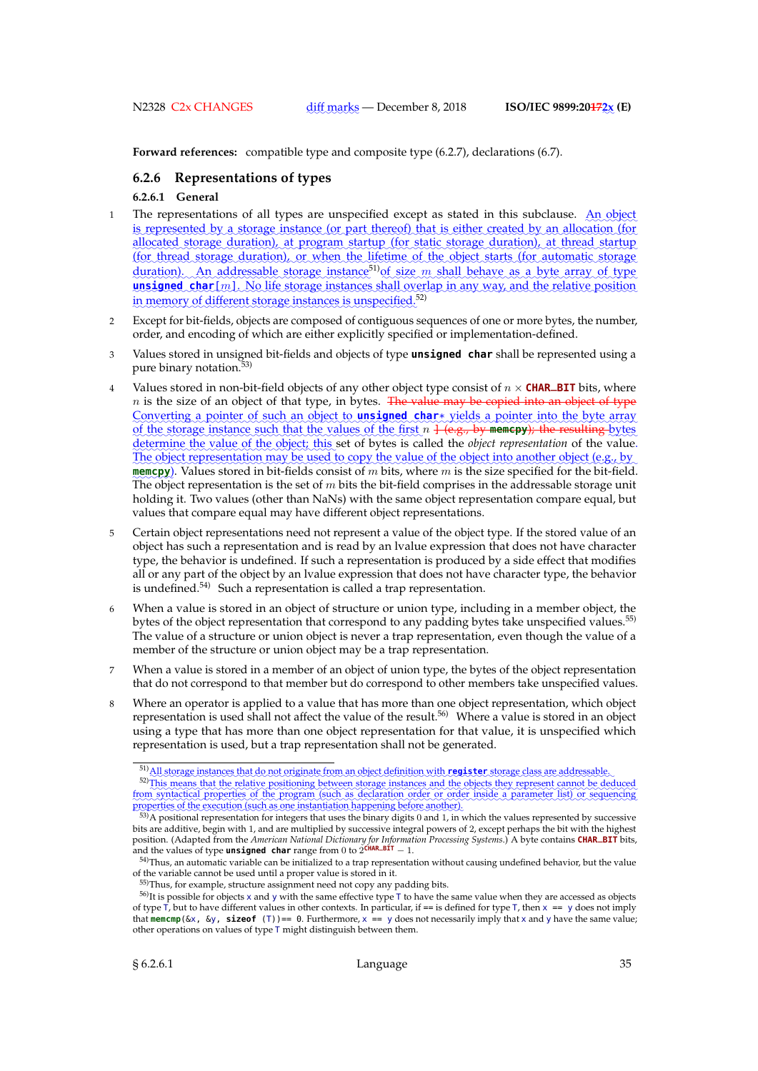**Forward references:** compatible type and composite type (6.2.7), declarations (6.7).

# **6.2.6 Representations of types**

### **6.2.6.1 General**

- 1 The representations of all types are unspecified except as stated in this subclause. An object is represented by a storage instance (or part thereof) that is either created by an allocation (for allocated storage duration), at program startup (for static storage duration), at thread startup (for thread storage duration), or when the lifetime of the object starts (for automatic storage duration). An addressable storage instance<sup>51</sup> of size m shall behave as a byte array of type unsigned char[m]. No life storage instances shall overlap in any way, and the relative position in memory of different storage instances is unspecified.<sup>52)</sup>
- 2 Except for bit-fields, objects are composed of contiguous sequences of one or more bytes, the number, order, and encoding of which are either explicitly specified or implementation-defined.
- 3 Values stored in unsigned bit-fields and objects of type **unsigned char** shall be represented using a pure binary notation.<sup>53)</sup>
- 4 Values stored in non-bit-field objects of any other object type consist of  $n \times$  **CHAR\_BIT** bits, where  $n$  is the size of an object of that type, in bytes. The value may be copied into an object of type Converting a pointer of such an object to **unsigned char**\* yields a pointer into the byte array of the storage instance such that the values of the first  $n + (e.g., by$  memcpy); the resulting bytes determine the value of the object; this set of bytes is called the *object representation* of the value. The object representation may be used to copy the value of the object into another object (e.g., by **memcpy**). Values stored in bit-fields consist of  $m$  bits, where  $m$  is the size specified for the bit-field. The object representation is the set of  $m$  bits the bit-field comprises in the addressable storage unit holding it. Two values (other than NaNs) with the same object representation compare equal, but values that compare equal may have different object representations.
- 5 Certain object representations need not represent a value of the object type. If the stored value of an object has such a representation and is read by an lvalue expression that does not have character type, the behavior is undefined. If such a representation is produced by a side effect that modifies all or any part of the object by an lvalue expression that does not have character type, the behavior is undefined.<sup>54)</sup> Such a representation is called a trap representation.
- 6 When a value is stored in an object of structure or union type, including in a member object, the bytes of the object representation that correspond to any padding bytes take unspecified values.<sup>55)</sup> The value of a structure or union object is never a trap representation, even though the value of a member of the structure or union object may be a trap representation.
- 7 When a value is stored in a member of an object of union type, the bytes of the object representation that do not correspond to that member but do correspond to other members take unspecified values.
- Where an operator is applied to a value that has more than one object representation, which object representation is used shall not affect the value of the result.56) Where a value is stored in an object using a type that has more than one object representation for that value, it is unspecified which representation is used, but a trap representation shall not be generated.

<sup>51)</sup> All storage instances that do not originate from an object definition with register storage class are addressable.

<sup>52)</sup> This means that the relative positioning between storage instances and the objects they represent cannot be deduced from syntactical properties of the program (such as declaration order or order inside a parameter list) or sequencing properties of the execution (such as one instantiation happening before another).<br><sup>53)</sup>A positional representation for integers that uses the binary digits 0 and 1, in which the values represented by successive perties of the execution (such as one instantiation happening before another).

bits are additive, begin with 1, and are multiplied by successive integral powers of 2, except perhaps the bit with the highest position. (Adapted from the *American National Dictionary for Information Processing Systems*.) A byte contains **CHAR\_BIT** bits, and the values of type **unsigned char** range from 0 to  $2\overline{C}$ HAR\_BIT  $-1$ .

<sup>54)</sup>Thus, an automatic variable can be initialized to a trap representation without causing undefined behavior, but the value of the variable cannot be used until a proper value is stored in it.

<sup>55)</sup>Thus, for example, structure assignment need not copy any padding bits.

<sup>56)</sup>It is possible for objects x and y with the same effective type T to have the same value when they are accessed as objects of type  $\overline{\tau}$ , but to have different values in other contexts. In particular, if == is defined for type  $\overline{\tau}$ , then  $x = y$  does not imply that **memcmp**(&x, &y, **sizeof** (T))== 0. Furthermore, x == y does not necessarily imply that x and y have the same value; other operations on values of type T might distinguish between them.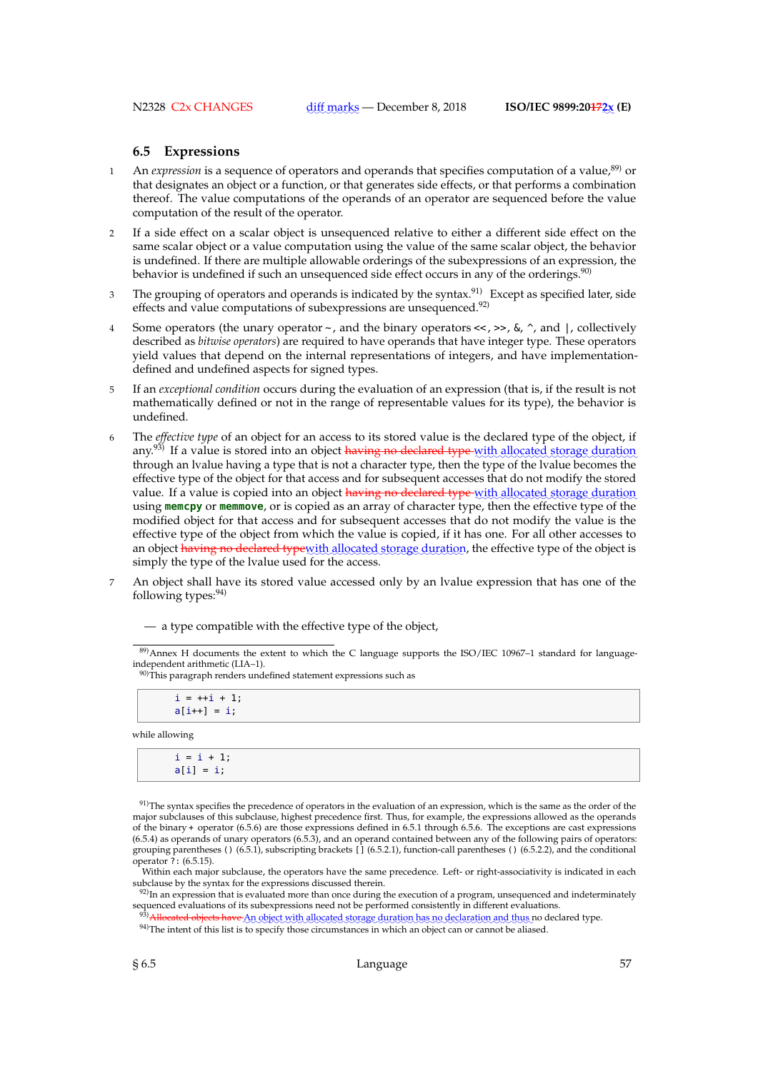# **6.5 Expressions**

- 1 An *expression* is a sequence of operators and operands that specifies computation of a value,<sup>89</sup> or that designates an object or a function, or that generates side effects, or that performs a combination thereof. The value computations of the operands of an operator are sequenced before the value computation of the result of the operator.
- 2 If a side effect on a scalar object is unsequenced relative to either a different side effect on the same scalar object or a value computation using the value of the same scalar object, the behavior is undefined. If there are multiple allowable orderings of the subexpressions of an expression, the behavior is undefined if such an unsequenced side effect occurs in any of the orderings.<sup>90)</sup>
- 3 The grouping of operators and operands is indicated by the syntax.<sup>91)</sup> Except as specified later, side effects and value computations of subexpressions are unsequenced.<sup>92)</sup>
- Some operators (the unary operator  $\sim$ , and the binary operators  $\ll$ ,  $\gg$ ,  $\&$ ,  $\sim$ , and |, collectively described as *bitwise operators*) are required to have operands that have integer type. These operators yield values that depend on the internal representations of integers, and have implementationdefined and undefined aspects for signed types.
- 5 If an *exceptional condition* occurs during the evaluation of an expression (that is, if the result is not mathematically defined or not in the range of representable values for its type), the behavior is undefined.
- 6 The *effective type* of an object for an access to its stored value is the declared type of the object, if any.<sup>93)</sup> If a value is stored into an object having no declared type with allocated storage duration through an lvalue having a type that is not a character type, then the type of the lvalue becomes the effective type of the object for that access and for subsequent accesses that do not modify the stored value. If a value is copied into an object <del>having no declared type with allocated storage duration</del> using **memcpy** or **memmove**, or is copied as an array of character type, then the effective type of the modified object for that access and for subsequent accesses that do not modify the value is the effective type of the object from which the value is copied, if it has one. For all other accesses to an object <del>having no declared type</del>with allocated storage duration, the effective type of the object is simply the type of the lvalue used for the access.
- An object shall have its stored value accessed only by an lvalue expression that has one of the following types: $94$ )

— a type compatible with the effective type of the object,

 $90$ <sup>90)</sup>This paragraph renders undefined statement expressions such as

 $i = ++i + 1;$  $a[i+1] = i;$ 

while allowing

| $i = i + 1;$<br>$a[i] = i;$ |  |  |  |
|-----------------------------|--|--|--|
|                             |  |  |  |

91)The syntax specifies the precedence of operators in the evaluation of an expression, which is the same as the order of the major subclauses of this subclause, highest precedence first. Thus, for example, the expressions allowed as the operands of the binary + operator (6.5.6) are those expressions defined in 6.5.1 through 6.5.6. The exceptions are cast expressions (6.5.4) as operands of unary operators (6.5.3), and an operand contained between any of the following pairs of operators: grouping parentheses () (6.5.1), subscripting brackets [1 (6.5.2.1), function-call parentheses () (6.5.2.2), and the conditional operator ?: (6.5.15).

Within each major subclause, the operators have the same precedence. Left- or right-associativity is indicated in each subclause by the syntax for the expressions discussed therein.

 $92$ )In an expression that is evaluated more than once during the execution of a program, unsequenced and indeterminately sequenced evaluations of its subexpressions need not be performed consistently in different evaluations.<br><sup>939</sup>. <del>Allocated objects have A</del>n object with allocated storage duration has no declaration and thus no declared typ

94)The intent of this list is to specify those circumstances in which an object can or cannot be aliased.

<sup>89)</sup>Annex H documents the extent to which the C language supports the ISO/IEC 10967-1 standard for languageindependent arithmetic (LIA–1).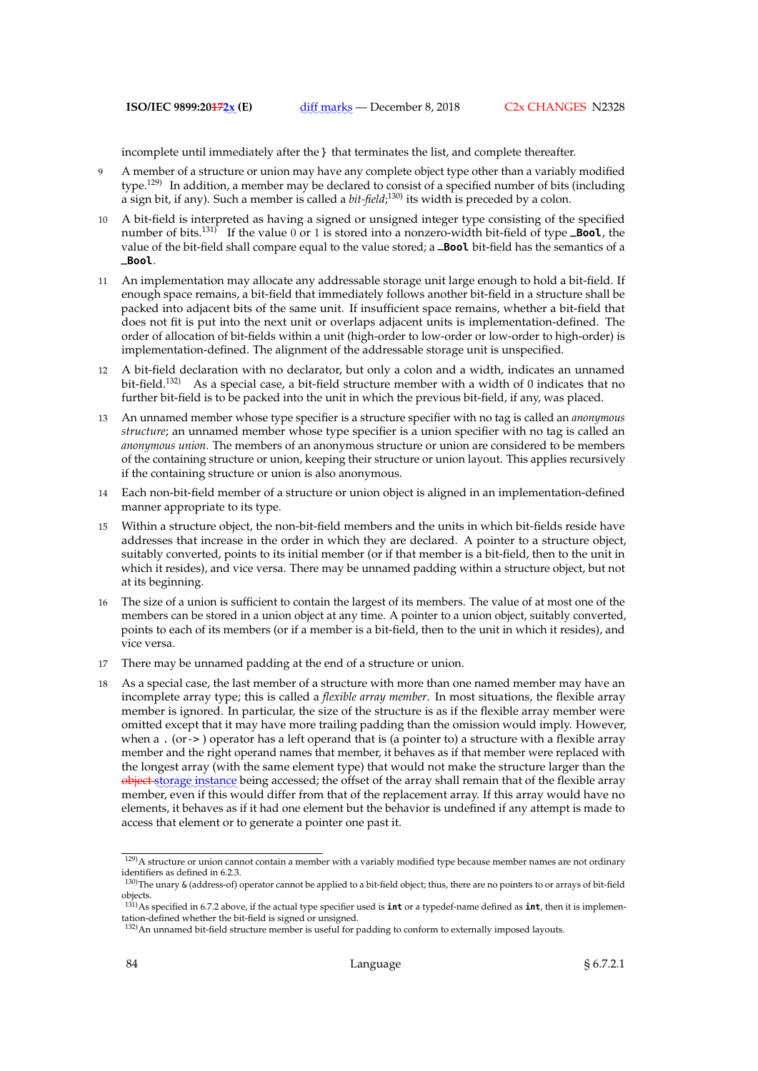incomplete until immediately after the } that terminates the list, and complete thereafter.

- 9 A member of a structure or union may have any complete object type other than a variably modified type.<sup>129)</sup> In addition, a member may be declared to consist of a specified number of bits (including a sign bit, if any). Such a member is called a *bit-field*; 130) its width is preceded by a colon.
- 10 A bit-field is interpreted as having a signed or unsigned integer type consisting of the specified number of bits.<sup>131)</sup> If the value 0 or 1 is stored into a nonzero-width bit-field of type **\_Bool**, the value of the bit-field shall compare equal to the value stored; a **\_Bool** bit-field has the semantics of a **\_Bool**.
- 11 An implementation may allocate any addressable storage unit large enough to hold a bit-field. If enough space remains, a bit-field that immediately follows another bit-field in a structure shall be packed into adjacent bits of the same unit. If insufficient space remains, whether a bit-field that does not fit is put into the next unit or overlaps adjacent units is implementation-defined. The order of allocation of bit-fields within a unit (high-order to low-order or low-order to high-order) is implementation-defined. The alignment of the addressable storage unit is unspecified.
- 12 A bit-field declaration with no declarator, but only a colon and a width, indicates an unnamed bit-field.<sup>132)</sup> As a special case, a bit-field structure member with a width of 0 indicates that no further bit-field is to be packed into the unit in which the previous bit-field, if any, was placed.
- 13 An unnamed member whose type specifier is a structure specifier with no tag is called an *anonymous structure*; an unnamed member whose type specifier is a union specifier with no tag is called an *anonymous union*. The members of an anonymous structure or union are considered to be members of the containing structure or union, keeping their structure or union layout. This applies recursively if the containing structure or union is also anonymous.
- 14 Each non-bit-field member of a structure or union object is aligned in an implementation-defined manner appropriate to its type.
- 15 Within a structure object, the non-bit-field members and the units in which bit-fields reside have addresses that increase in the order in which they are declared. A pointer to a structure object, suitably converted, points to its initial member (or if that member is a bit-field, then to the unit in which it resides), and vice versa. There may be unnamed padding within a structure object, but not at its beginning.
- 16 The size of a union is sufficient to contain the largest of its members. The value of at most one of the members can be stored in a union object at any time. A pointer to a union object, suitably converted, points to each of its members (or if a member is a bit-field, then to the unit in which it resides), and vice versa.
- 17 There may be unnamed padding at the end of a structure or union.
- 18 As a special case, the last member of a structure with more than one named member may have an incomplete array type; this is called a *flexible array member*. In most situations, the flexible array member is ignored. In particular, the size of the structure is as if the flexible array member were omitted except that it may have more trailing padding than the omission would imply. However, when a . (or->) operator has a left operand that is (a pointer to) a structure with a flexible array member and the right operand names that member, it behaves as if that member were replaced with the longest array (with the same element type) that would not make the structure larger than the object storage instance being accessed; the offset of the array shall remain that of the flexible array member, even if this would differ from that of the replacement array. If this array would have no elements, it behaves as if it had one element but the behavior is undefined if any attempt is made to access that element or to generate a pointer one past it.

 $\frac{129}{129}$ A structure or union cannot contain a member with a variably modified type because member names are not ordinary identifiers as defined in 6.2.3.

<sup>130)</sup>The unary & (address-of) operator cannot be applied to a bit-field object; thus, there are no pointers to or arrays of bit-field objects.

<sup>131)</sup>As specified in 6.7.2 above, if the actual type specifier used is **int** or a typedef-name defined as **int**, then it is implementation-defined whether the bit-field is signed or unsigned.

<sup>132)</sup> An unnamed bit-field structure member is useful for padding to conform to externally imposed layouts.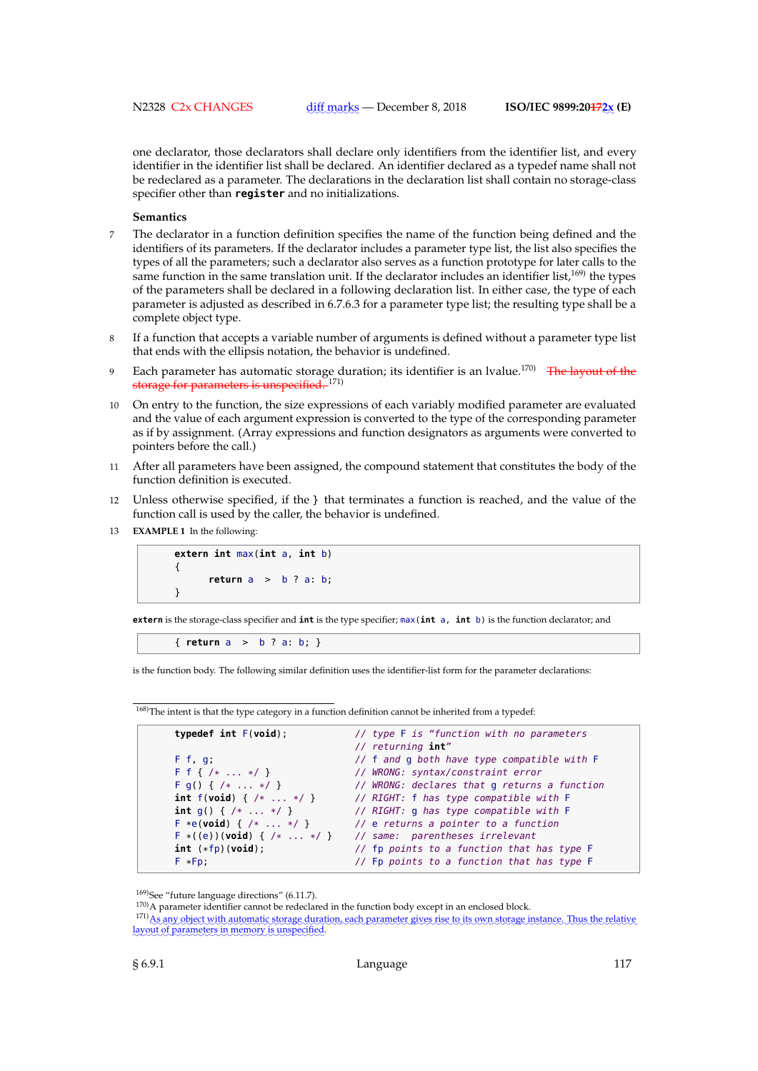one declarator, those declarators shall declare only identifiers from the identifier list, and every identifier in the identifier list shall be declared. An identifier declared as a typedef name shall not be redeclared as a parameter. The declarations in the declaration list shall contain no storage-class specifier other than **register** and no initializations.

### **Semantics**

- 7 The declarator in a function definition specifies the name of the function being defined and the identifiers of its parameters. If the declarator includes a parameter type list, the list also specifies the types of all the parameters; such a declarator also serves as a function prototype for later calls to the same function in the same translation unit. If the declarator includes an identifier list, $169$ ) the types of the parameters shall be declared in a following declaration list. In either case, the type of each parameter is adjusted as described in 6.7.6.3 for a parameter type list; the resulting type shall be a complete object type.
- 8 If a function that accepts a variable number of arguments is defined without a parameter type list that ends with the ellipsis notation, the behavior is undefined.
- Each parameter has automatic storage duration; its identifier is an lvalue.<sup>170)</sup> The layout of the storage for parameters is unspecified.<sup>171)</sup>
- 10 On entry to the function, the size expressions of each variably modified parameter are evaluated and the value of each argument expression is converted to the type of the corresponding parameter as if by assignment. (Array expressions and function designators as arguments were converted to pointers before the call.)
- 11 After all parameters have been assigned, the compound statement that constitutes the body of the function definition is executed.
- 12 Unless otherwise specified, if the } that terminates a function is reached, and the value of the function call is used by the caller, the behavior is undefined.
- 13 **EXAMPLE 1** In the following:

**extern int** max(**int** a, **int** b) { **return** a > b ? a: b; }

**extern** is the storage-class specifier and **int** is the type specifier; max(**int** a, **int** b) is the function declarator; and

{ **return** a > b ? a: b; }

is the function body. The following similar definition uses the identifier-list form for the parameter declarations:

<sup>168)</sup>The intent is that the type category in a function definition cannot be inherited from a typedef:

| typedef $int F(void)$ ;                            | // type F is "function with no parameters<br>// returning int" |
|----------------------------------------------------|----------------------------------------------------------------|
| F f, g;                                            | // f and q both have type compatible with F                    |
| $F f { \times  * }$                                | // WRONG: syntax/constraint error                              |
| $F g() { / *  * / }$                               | // WRONG: declares that q returns a function                   |
| int $f(void)$ $\{ \ \ / \ * \ \ldots \ * \ / \ \}$ | // RIGHT: f has type compatible with F                         |
| int $q()$ { $/* \ldots */$ }                       | // RIGHT: q has type compatible with F                         |
| $F * e(void) { / *  * / }$                         | // e returns a pointer to a function                           |
| $F * ((e)) (void) { / *  * / }$                    | // same: parentheses irrelevant                                |
| $int$ $(*fp)(void);$                               | // fp points to a function that has type F                     |
| $F * Fp$ :                                         | // Fp points to a function that has type F                     |
|                                                    |                                                                |

<sup>169)</sup>See "future language directions" (6.11.7).

<sup>&</sup>lt;sup>170)</sup>A parameter identifier cannot be redeclared in the function body except in an enclosed block.

<sup>171)</sup> As any object with automatic storage duration, each parameter gives rise to its own storage instance. Thus the relative layout of parameters in memory is unspecified.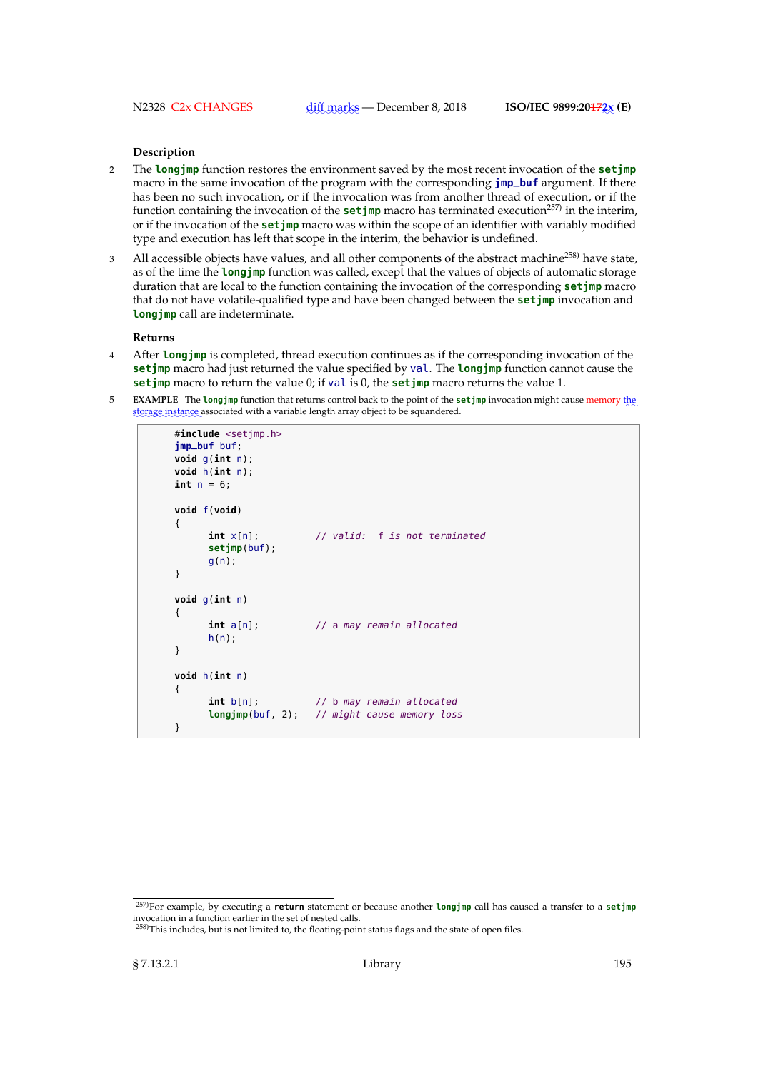# **Description**

- 2 The **longjmp** function restores the environment saved by the most recent invocation of the **setjmp** macro in the same invocation of the program with the corresponding **jmp\_buf** argument. If there has been no such invocation, or if the invocation was from another thread of execution, or if the function containing the invocation of the **set imp** macro has terminated execution<sup>257</sup> in the interim, or if the invocation of the **setjmp** macro was within the scope of an identifier with variably modified type and execution has left that scope in the interim, the behavior is undefined.
- 3 All accessible objects have values, and all other components of the abstract machine<sup>258)</sup> have state, as of the time the **longjmp** function was called, except that the values of objects of automatic storage duration that are local to the function containing the invocation of the corresponding **setjmp** macro that do not have volatile-qualified type and have been changed between the **setjmp** invocation and **longjmp** call are indeterminate.

#### **Returns**

- 4 After **longjmp** is completed, thread execution continues as if the corresponding invocation of the **setjmp** macro had just returned the value specified by val. The **longjmp** function cannot cause the **setjmp** macro to return the value 0; if val is 0, the **setjmp** macro returns the value 1.
- **EXAMPLE** The **longjmp** function that returns control back to the point of the **setjmp** invocation might cause memory the storage instance associated with a variable length array object to be squandered.

```
#include <setjmp.h>
jmp_buf buf;
void g(int n);
void h(int n);
int n = 6;
void f(void)
{
     int x[n]; // valid: f is not terminated
     setjmp(buf);
     g(n);
}
void g(int n)
{
     int a[n]; // a may remain allocated
     h(n):
}
void h(int n)
{
     int b[n]; \frac{1}{2} // b may remain allocated
     longjmp(buf, 2); // might cause memory loss
}
```
<sup>257)</sup>For example, by executing a **return** statement or because another **longjmp** call has caused a transfer to a **setjmp** invocation in a function earlier in the set of nested calls.

<sup>&</sup>lt;sup>258)</sup>This includes, but is not limited to, the floating-point status flags and the state of open files.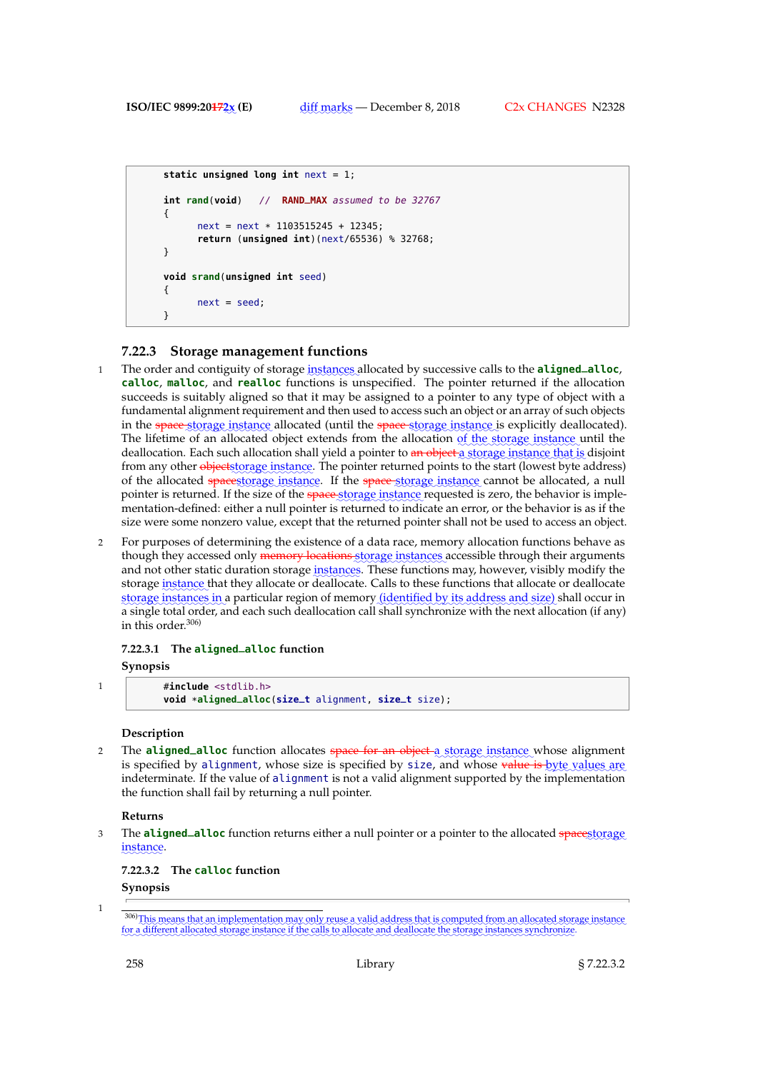```
static unsigned long int next = 1;
int rand(void) // RAND_MAX assumed to be 32767
{
      next = next * 1103515245 + 12345;
      return (unsigned int)(next/65536) % 32768;
}
void srand(unsigned int seed)
{
      next = seed;
}
```
# **7.22.3 Storage management functions**

- 1 The order and contiguity of storage instances allocated by successive calls to the **aligned\_alloc**, **calloc**, **malloc**, and **realloc** functions is unspecified. The pointer returned if the allocation succeeds is suitably aligned so that it may be assigned to a pointer to any type of object with a fundamental alignment requirement and then used to access such an object or an array of such objects in the space storage instance allocated (until the space storage instance is explicitly deallocated). The lifetime of an allocated object extends from the allocation of the storage instance until the deallocation. Each such allocation shall yield a pointer to <del>an object a</del> storage instance that is disjoint from any other <del>objects torage instance</del>. The pointer returned points to the start (lowest byte address) of the allocated spacestorage instance. If the space storage instance cannot be allocated, a null pointer is returned. If the size of the space storage instance requested is zero, the behavior is implementation-defined: either a null pointer is returned to indicate an error, or the behavior is as if the size were some nonzero value, except that the returned pointer shall not be used to access an object.
- 2 For purposes of determining the existence of a data race, memory allocation functions behave as though they accessed only <del>memory locations s</del>torage instances accessible through their arguments and not other static duration storage instances. These functions may, however, visibly modify the storage <u>instance</u> that they allocate or deallocate. Calls to these functions that allocate or deallocate storage instances in a particular region of memory <u>(identified by its address and size)</u> shall occur in a single total order, and each such deallocation call shall synchronize with the next allocation (if any) in this order.306)

# **7.22.3.1 The aligned\_alloc function**

# **Synopsis**

1 #**include** <stdlib.h> **void** \***aligned\_alloc**(**size\_t** alignment, **size\_t** size);

### **Description**

2 The **aligned\_alloc** function allocates space for an object a storage instance whose alignment is specified by alignment, whose size is specified by size, and whose <del>value is byte</del> values are indeterminate. If the value of alignment is not a valid alignment supported by the implementation the function shall fail by returning a null pointer.

### **Returns**

3 The **aligned\_alloc** function returns either a null pointer or a pointer to the allocated spacestorage ✿✿✿✿✿✿✿ instance.

### **7.22.3.2 The calloc function**

**Synopsis**

1

<sup>306)</sup> This means that an implementation may only reuse a valid address that is computed from an allocated storage instance for a different allocated storage instance if the calls to allocate and deallocate the storage instances synchronize.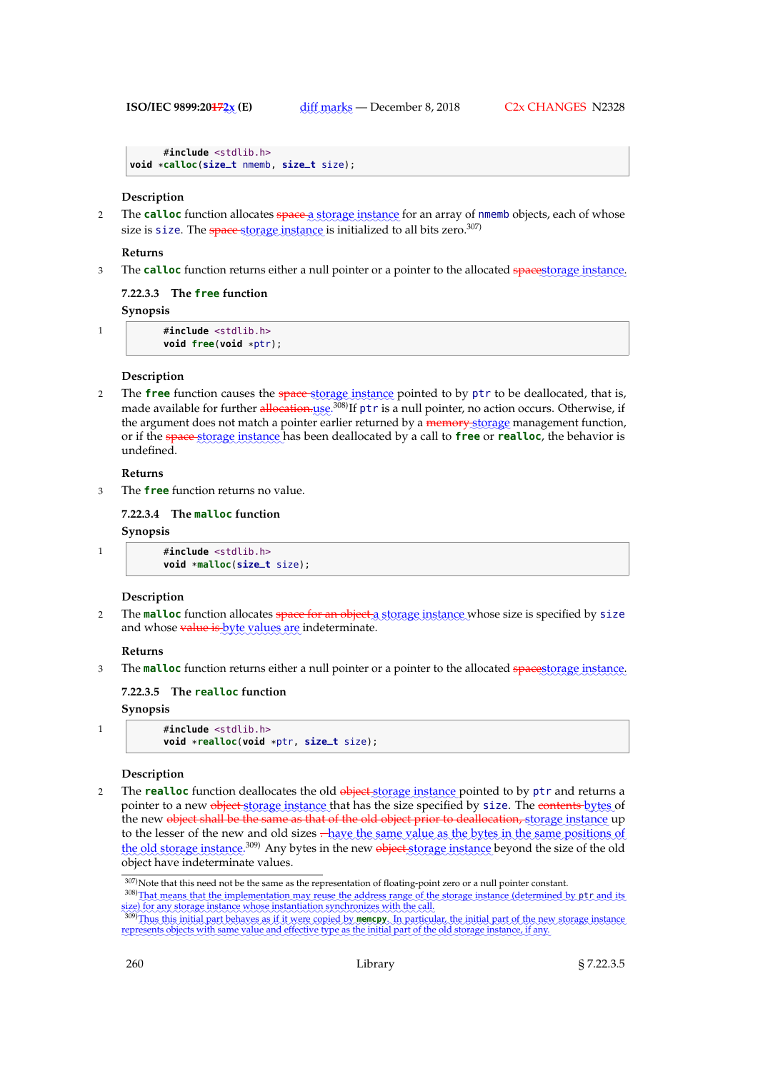```
#include <stdlib.h>
void *calloc(size_t nmemb, size_t size);
```
### **Description**

2 The **calloc** function allocates space a storage instance for an array of nmemb objects, each of whose size is size. The space storage instance is initialized to all bits zero.<sup>307)</sup>

### **Returns**

3 The **calloc** function returns either a null pointer or a pointer to the allocated spacestorage instance.

### **7.22.3.3 The free function**

# **Synopsis**

1 #**include** <stdlib.h> **void free**(**void** \*ptr);

### **Description**

2 The **free** function causes the space-storage instance pointed to by ptr to be deallocated, that is, made available for further <del>allocation.</del>use.<sup>308)</sup>If ptr is a null pointer, no action occurs. Otherwise, if the argument does not match a pointer earlier returned by a memory storage management function, or if the space storage instance has been deallocated by a call to **free** or **realloc**, the behavior is undefined.

### **Returns**

3 The **free** function returns no value.

# **7.22.3.4 The malloc function**

### **Synopsis**

```
1 #include <stdlib.h>
         void *malloc(size_t size);
```
### **Description**

2 The **malloc** function allocates <del>space for an object a st</del>orage instance whose size is specified by <code>size</code> and whose <del>value is byte values are</del> indeterminate.

# **Returns**

3 The malloc function returns either a null pointer or a pointer to the allocated spacestorage instance.

# **7.22.3.5 The realloc function**

**Synopsis**

```
1 #include <stdlib.h>
```

```
void *realloc(void *ptr, size_t size);
```
### **Description**

2 The **realloc** function deallocates the old <del>object s</del>torage instance pointed to by ptr and returns a pointer to a new <del>object storage instance t</del>hat has the size specified by <code>size. The <del>contents bytes</code> of</code></del> the new <del>object shall be the same as that of the old object prior to deallocation, storage</del> instance up to the lesser of the new and old sizes  $\frac{1}{2}$  have the same value as the bytes in the same positions of the old storage instance.<sup>309</sup> Any bytes in the new <del>object</del> storage instance beyond the size of the old object have indeterminate values.

<sup>307)</sup>Note that this need not be the same as the representation of floating-point zero or a null pointer constant.

<sup>308)</sup>That means that the implementation may reuse the address range of the storage instance (determined by ptr and its ✿✿✿

size) for any storage instance whose instantiation synchronizes with the call.<br><sup>309)</sup>Thus this initial part behaves as if it were copied by **memcry**. In particular, the initial part of the new storage instance represents objects with same value and effective type as the initial part of the old storage instance, if any.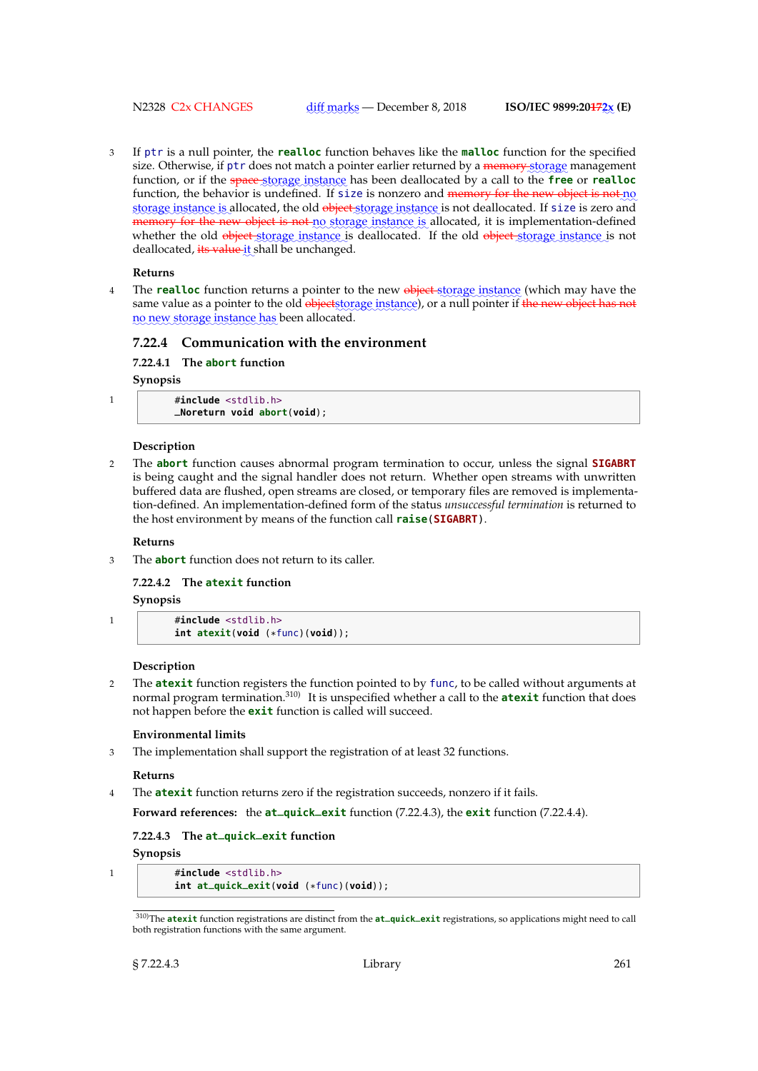N2328 C2x CHANGES

3 If ptr is a null pointer, the **realloc** function behaves like the **malloc** function for the specified size. Otherwise, if ptr does not match a pointer earlier returned by a <del>memory storage</del> management function, or if the space storage instance has been deallocated by a call to the free or realloc function, the behavior is undefined. If size is nonzero and memory for the new object is not no storage instance is allocated, the old <del>object s</del>torage instance is not deallocated. If size is zero and memory for the new object is not no storage instance is allocated, it is implementation-defined whether the old <del>object st</del>orage instance is deallocated. If the old <del>object st</del>orage instance is not deallocated, <del>its value it</del> shall be unchanged.

### **Returns**

4 The **realloc** function returns a pointer to the new object storage instance (which may have the same value as a pointer to the old <del>objects torage</del> instance), or a null pointer if <del>the new object has not</del> no new storage instance has been allocated.

# **7.22.4 Communication with the environment**

**7.22.4.1 The abort function**

**Synopsis**

| $\#$ include $\le$ stdlib.h>  |  |  |  |  |
|-------------------------------|--|--|--|--|
| $-Noreturn$ void abort(void): |  |  |  |  |

### **Description**

2 The **abort** function causes abnormal program termination to occur, unless the signal **SIGABRT** is being caught and the signal handler does not return. Whether open streams with unwritten buffered data are flushed, open streams are closed, or temporary files are removed is implementation-defined. An implementation-defined form of the status *unsuccessful termination* is returned to the host environment by means of the function call **raise**(**SIGABRT**).

### **Returns**

3 The **abort** function does not return to its caller.

**7.22.4.2 The atexit function**

**Synopsis**

1 #**include** <stdlib.h> **int atexit**(**void** (\*func)(**void**));

### **Description**

2 The **atexit** function registers the function pointed to by func, to be called without arguments at normal program termination.310) It is unspecified whether a call to the **atexit** function that does not happen before the **exit** function is called will succeed.

### **Environmental limits**

3 The implementation shall support the registration of at least 32 functions.

# **Returns**

4 The **atexit** function returns zero if the registration succeeds, nonzero if it fails.

**Forward references:** the **at\_quick\_exit** function (7.22.4.3), the **exit** function (7.22.4.4).

### **7.22.4.3 The at\_quick\_exit function**

**Synopsis**

1 #**include** <stdlib.h>

```
int at_quick_exit(void (*func)(void));
```
<sup>310)</sup>The **atexit** function registrations are distinct from the **at\_quick\_exit** registrations, so applications might need to call both registration functions with the same argument.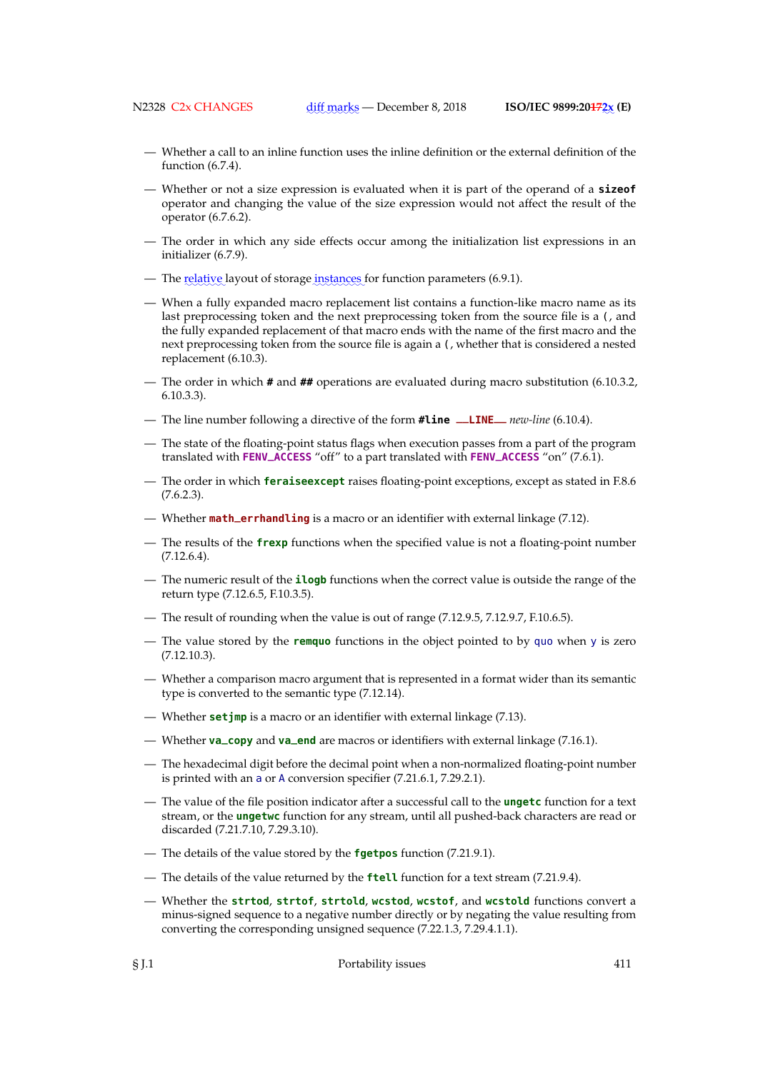- Whether a call to an inline function uses the inline definition or the external definition of the function (6.7.4).
- Whether or not a size expression is evaluated when it is part of the operand of a **sizeof** operator and changing the value of the size expression would not affect the result of the operator (6.7.6.2).
- The order in which any side effects occur among the initialization list expressions in an initializer (6.7.9).
- The <u>relative</u> layout of storage <u>instances</u> for function parameters (6.9.1).
- When a fully expanded macro replacement list contains a function-like macro name as its last preprocessing token and the next preprocessing token from the source file is a (, and the fully expanded replacement of that macro ends with the name of the first macro and the next preprocessing token from the source file is again a (, whether that is considered a nested replacement (6.10.3).
- The order in which **#** and **##** operations are evaluated during macro substitution (6.10.3.2, 6.10.3.3).
- The line number following a directive of the form **#line \_\_LINE\_\_** *new-line* (6.10.4).
- The state of the floating-point status flags when execution passes from a part of the program translated with **FENV\_ACCESS** "off" to a part translated with **FENV\_ACCESS** "on" (7.6.1).
- The order in which **feraiseexcept** raises floating-point exceptions, except as stated in F.8.6  $(7.6.2.3).$
- Whether **math\_errhandling** is a macro or an identifier with external linkage (7.12).
- The results of the **frexp** functions when the specified value is not a floating-point number  $(7.12.6.4)$ .
- The numeric result of the **ilogb** functions when the correct value is outside the range of the return type (7.12.6.5, F.10.3.5).
- The result of rounding when the value is out of range (7.12.9.5, 7.12.9.7, F.10.6.5).
- The value stored by the **remquo** functions in the object pointed to by quo when y is zero (7.12.10.3).
- Whether a comparison macro argument that is represented in a format wider than its semantic type is converted to the semantic type (7.12.14).
- Whether **setjmp** is a macro or an identifier with external linkage (7.13).
- Whether **va\_copy** and **va\_end** are macros or identifiers with external linkage (7.16.1).
- The hexadecimal digit before the decimal point when a non-normalized floating-point number is printed with an a or A conversion specifier (7.21.6.1, 7.29.2.1).
- The value of the file position indicator after a successful call to the **ungetc** function for a text stream, or the **ungetwc** function for any stream, until all pushed-back characters are read or discarded (7.21.7.10, 7.29.3.10).
- The details of the value stored by the **fgetpos** function (7.21.9.1).
- The details of the value returned by the **ftell** function for a text stream (7.21.9.4).
- Whether the **strtod**, **strtof**, **strtold**, **wcstod**, **wcstof**, and **wcstold** functions convert a minus-signed sequence to a negative number directly or by negating the value resulting from converting the corresponding unsigned sequence (7.22.1.3, 7.29.4.1.1).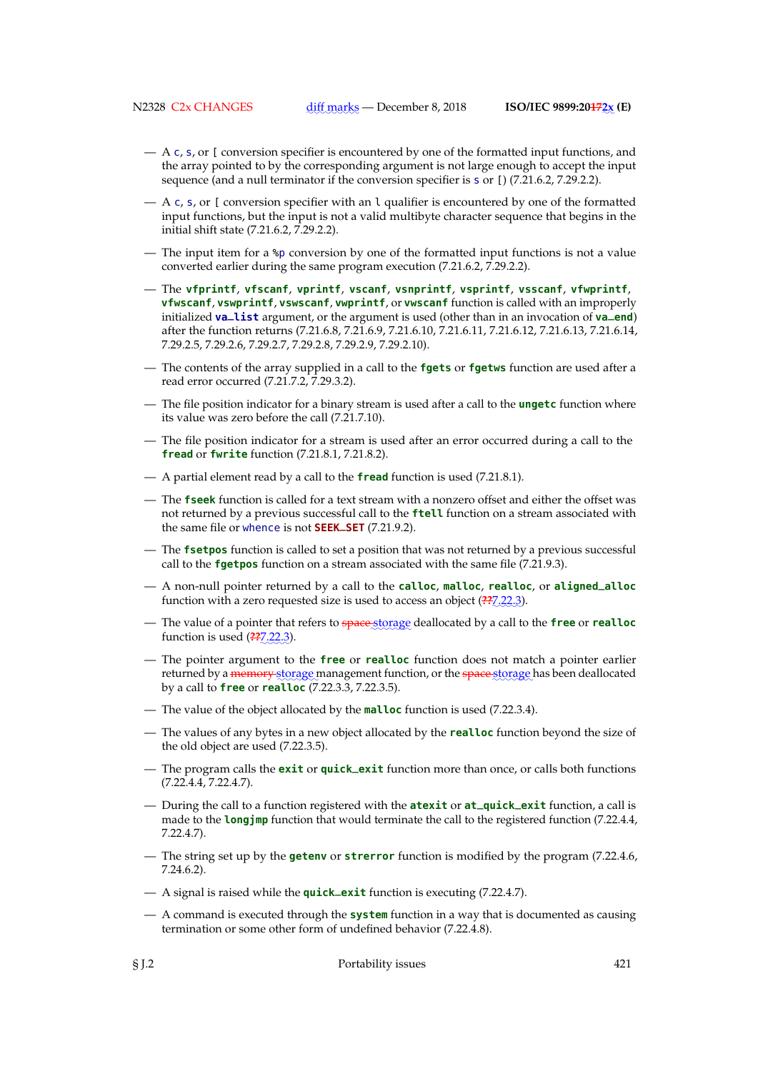- A c, s, or [ conversion specifier is encountered by one of the formatted input functions, and the array pointed to by the corresponding argument is not large enough to accept the input sequence (and a null terminator if the conversion specifier is  $\frac{1}{2}$  or [) (7.21.6.2, 7.29.2.2).
- A c, s, or [ conversion specifier with an l qualifier is encountered by one of the formatted input functions, but the input is not a valid multibyte character sequence that begins in the initial shift state (7.21.6.2, 7.29.2.2).
- The input item for a %p conversion by one of the formatted input functions is not a value converted earlier during the same program execution (7.21.6.2, 7.29.2.2).
- The **vfprintf**, **vfscanf**, **vprintf**, **vscanf**, **vsnprintf**, **vsprintf**, **vsscanf**, **vfwprintf**, **vfwscanf**, **vswprintf**, **vswscanf**, **vwprintf**, or **vwscanf** function is called with an improperly initialized **va\_list** argument, or the argument is used (other than in an invocation of **va\_end**) after the function returns (7.21.6.8, 7.21.6.9, 7.21.6.10, 7.21.6.11, 7.21.6.12, 7.21.6.13, 7.21.6.14, 7.29.2.5, 7.29.2.6, 7.29.2.7, 7.29.2.8, 7.29.2.9, 7.29.2.10).
- The contents of the array supplied in a call to the **fgets** or **fgetws** function are used after a read error occurred (7.21.7.2, 7.29.3.2).
- The file position indicator for a binary stream is used after a call to the **ungetc** function where its value was zero before the call (7.21.7.10).
- The file position indicator for a stream is used after an error occurred during a call to the **fread** or **fwrite** function (7.21.8.1, 7.21.8.2).
- A partial element read by a call to the **fread** function is used (7.21.8.1).
- The **fseek** function is called for a text stream with a nonzero offset and either the offset was not returned by a previous successful call to the **ftell** function on a stream associated with the same file or whence is not **SEEK\_SET** (7.21.9.2).
- The **fsetpos** function is called to set a position that was not returned by a previous successful call to the **fgetpos** function on a stream associated with the same file (7.21.9.3).
- A non-null pointer returned by a call to the **calloc**, **malloc**, **realloc**, or **aligned\_alloc** function with a zero requested size is used to access an object (<del>??</del>@@22.3).
- $-$  The value of a pointer that refers to space storage deallocated by a call to the **free** or **realloc** function is used (<del>??</del>@@22.3).
- The pointer argument to the **free** or **realloc** function does not match a pointer earlier returned by a <del>memory s</del>torage management function, or the <del>space s</del>torage has been deallocated by a call to **free** or **realloc** (7.22.3.3, 7.22.3.5).
- The value of the object allocated by the **malloc** function is used (7.22.3.4).
- The values of any bytes in a new object allocated by the **realloc** function beyond the size of the old object are used (7.22.3.5).
- The program calls the **exit** or **quick\_exit** function more than once, or calls both functions (7.22.4.4, 7.22.4.7).
- During the call to a function registered with the **atexit** or **at\_quick\_exit** function, a call is made to the **longjmp** function that would terminate the call to the registered function (7.22.4.4, 7.22.4.7).
- The string set up by the **getenv** or **strerror** function is modified by the program (7.22.4.6, 7.24.6.2).
- A signal is raised while the **quick\_exit** function is executing (7.22.4.7).
- A command is executed through the **system** function in a way that is documented as causing termination or some other form of undefined behavior (7.22.4.8).